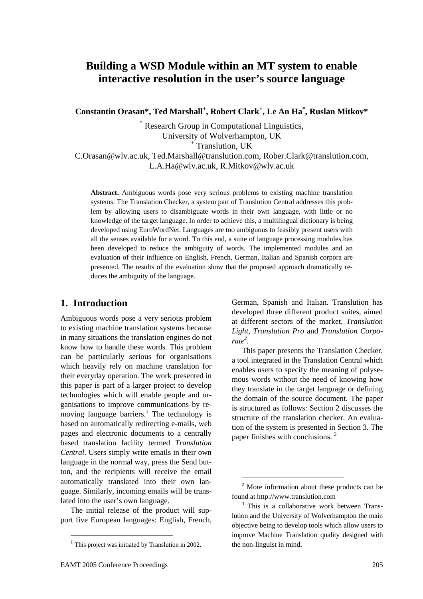# **Building a WSD Module within an MT system to enable interactive resolution in the user's source language**

**Constantin Orasan\*, Ted Marshall<sup>+</sup> , Robert Clark<sup>+</sup> , Le An Ha\* , Ruslan Mitkov\*** 

\* Research Group in Computational Linguistics, University of Wolverhampton, UK +

<sup>+</sup> Translution, UK

C.Orasan@wlv.ac.uk, Ted.Marshall@translution.com, Rober.Clark@translution.com, L.A.Ha@wlv.ac.uk, R.Mitkov@wlv.ac.uk

**Abstract.** Ambiguous words pose very serious problems to existing machine translation systems. The Translation Checker, a system part of Translution Central addresses this problem by allowing users to disambiguate words in their own language, with little or no knowledge of the target language. In order to achieve this, a multilingual dictionary is being developed using EuroWordNet. Languages are too ambiguous to feasibly present users with all the senses available for a word. To this end, a suite of language processing modules has been developed to reduce the ambiguity of words. The implemented modules and an evaluation of their influence on English, French, German, Italian and Spanish corpora are presented. The results of the evaluation show that the proposed approach dramatically reduces the ambiguity of the language.

#### **1. Introduction**

Ambiguous words pose a very serious problem to existing machine translation systems because in many situations the translation engines do not know how to handle these words. This problem can be particularly serious for organisations which heavily rely on machine translation for their everyday operation. The work presented in this paper is part of a larger project to develop technologies which will enable people and organisations to improve communications by removing language barriers.<sup>1</sup> The technology is based on automatically redirecting e-mails, web pages and electronic documents to a centrally based translation facility termed *Translution Central*. Users simply write emails in their own language in the normal way, press the Send button, and the recipients will receive the email automatically translated into their own language. Similarly, incoming emails will be translated into the user's own language.

The initial release of the product will support five European languages: English, French,

EAMT 2005 Conference Proceedings 205

German, Spanish and Italian. Translution has developed three different product suites, aimed at different sectors of the market, *Translution Light, Translution Pro* and *Translution Corporate2 .*

This paper presents the Translation Checker, a tool integrated in the Translation Central which enables users to specify the meaning of polysemous words without the need of knowing how they translate in the target language or defining the domain of the source document. The paper is structured as follows: Section 2 discusses the structure of the translation checker. An evaluation of the system is presented in Section 3. The paper finishes with conclusions. 3

 $1$  This project was initiated by Translution in 2002.

 $2$  More information about these products can be found at http://www.translution.com 3

 $3$  This is a collaborative work between Translution and the University of Wolverhampton the main objective being to develop tools which allow users to improve Machine Translation quality designed with the non-linguist in mind.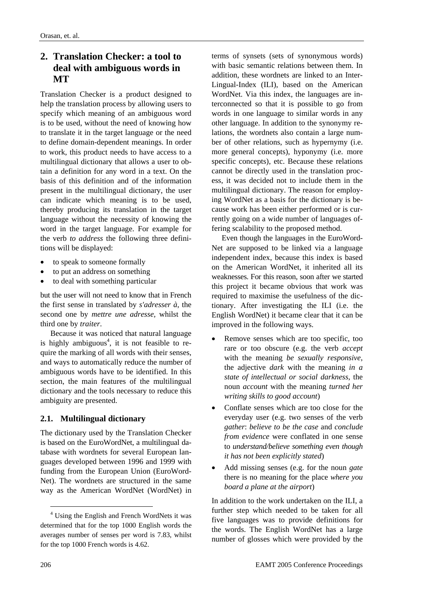# **2. Translation Checker: a tool to deal with ambiguous words in MT**

Translation Checker is a product designed to help the translation process by allowing users to specify which meaning of an ambiguous word is to be used, without the need of knowing how to translate it in the target language or the need to define domain-dependent meanings. In order to work, this product needs to have access to a multilingual dictionary that allows a user to obtain a definition for any word in a text. On the basis of this definition and of the information present in the multilingual dictionary, the user can indicate which meaning is to be used, thereby producing its translation in the target language without the necessity of knowing the word in the target language. For example for the verb *to address* the following three definitions will be displayed:

- to speak to someone formally
- to put an address on something
- to deal with something particular

but the user will not need to know that in French the first sense in translated by *s'adresser à*, the second one by *mettre une adresse,* whilst the third one by *traiter*.

Because it was noticed that natural language is highly ambiguous<sup>4</sup>, it is not feasible to require the marking of all words with their senses, and ways to automatically reduce the number of ambiguous words have to be identified. In this section, the main features of the multilingual dictionary and the tools necessary to reduce this ambiguity are presented.

#### **2.1. Multilingual dictionary**

The dictionary used by the Translation Checker is based on the EuroWordNet, a multilingual database with wordnets for several European languages developed between 1996 and 1999 with funding from the European Union (EuroWord-Net). The wordnets are structured in the same way as the American WordNet (WordNet) in

terms of synsets (sets of synonymous words) with basic semantic relations between them. In addition, these wordnets are linked to an Inter-Lingual-Index (ILI), based on the American WordNet. Via this index, the languages are interconnected so that it is possible to go from words in one language to similar words in any other language. In addition to the synonymy relations, the wordnets also contain a large number of other relations, such as hypernymy (i.e. more general concepts), hyponymy (i.e. more specific concepts), etc. Because these relations cannot be directly used in the translation process, it was decided not to include them in the multilingual dictionary. The reason for employing WordNet as a basis for the dictionary is because work has been either performed or is currently going on a wide number of languages offering scalability to the proposed method.

Even though the languages in the EuroWord-Net are supposed to be linked via a language independent index, because this index is based on the American WordNet, it inherited all its weaknesses. For this reason, soon after we started this project it became obvious that work was required to maximise the usefulness of the dictionary. After investigating the ILI (i.e. the English WordNet) it became clear that it can be improved in the following ways.

- Remove senses which are too specific, too rare or too obscure (e.g. the verb *accept* with the meaning *be sexually responsive*, the adjective *dark* with the meaning *in a state of intellectual or social darkness*, the noun *account* with the meaning *turned her writing skills to good account*)
- Conflate senses which are too close for the everyday user (e.g. two senses of the verb *gather*: *believe to be the case* and *conclude from evidence* were conflated in one sense to *understand/believe something even though it has not been explicitly stated*)
- Add missing senses (e.g. for the noun *gate* there is no meaning for the place *where you board a plane at the airport*)

In addition to the work undertaken on the ILI, a further step which needed to be taken for all five languages was to provide definitions for the words. The English WordNet has a large number of glosses which were provided by the

<sup>4</sup> Using the English and French WordNets it was determined that for the top 1000 English words the averages number of senses per word is 7.83, whilst for the top 1000 French words is 4.62.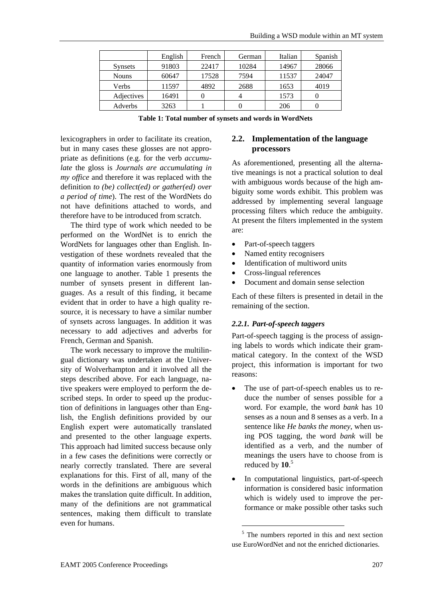|                   | English | French | German | Italian | Spanish |
|-------------------|---------|--------|--------|---------|---------|
| <b>Synsets</b>    | 91803   | 22417  | 10284  | 14967   | 28066   |
| <b>Nouns</b>      | 60647   | 17528  | 7594   | 11537   | 24047   |
| Verbs             | 11597   | 4892   | 2688   | 1653    | 4019    |
| <b>Adjectives</b> | 16491   |        |        | 1573    |         |
| Adverbs           | 3263    |        |        | 206     |         |

**Table 1: Total number of synsets and words in WordNets** 

lexicographers in order to facilitate its creation, but in many cases these glosses are not appropriate as definitions (e.g. for the verb *accumulate* the gloss is *Journals are accumulating in my office* and therefore it was replaced with the definition *to (be) collect(ed) or gather(ed) over a period of time*). The rest of the WordNets do not have definitions attached to words, and therefore have to be introduced from scratch.

The third type of work which needed to be performed on the WordNet is to enrich the WordNets for languages other than English. Investigation of these wordnets revealed that the quantity of information varies enormously from one language to another. Table 1 presents the number of synsets present in different languages. As a result of this finding, it became evident that in order to have a high quality resource, it is necessary to have a similar number of synsets across languages. In addition it was necessary to add adjectives and adverbs for French, German and Spanish.

The work necessary to improve the multilingual dictionary was undertaken at the University of Wolverhampton and it involved all the steps described above. For each language, native speakers were employed to perform the described steps. In order to speed up the production of definitions in languages other than English, the English definitions provided by our English expert were automatically translated and presented to the other language experts. This approach had limited success because only in a few cases the definitions were correctly or nearly correctly translated. There are several explanations for this. First of all, many of the words in the definitions are ambiguous which makes the translation quite difficult. In addition, many of the definitions are not grammatical sentences, making them difficult to translate even for humans.

#### **2.2. Implementation of the language processors**

As aforementioned, presenting all the alternative meanings is not a practical solution to deal with ambiguous words because of the high ambiguity some words exhibit. This problem was addressed by implementing several language processing filters which reduce the ambiguity. At present the filters implemented in the system are:

- Part-of-speech taggers
- Named entity recognisers
- Identification of multiword units
- Cross-lingual references
- Document and domain sense selection

Each of these filters is presented in detail in the remaining of the section.

### *2.2.1. Part-of-speech taggers*

Part-of-speech tagging is the process of assigning labels to words which indicate their grammatical category. In the context of the WSD project, this information is important for two reasons:

- The use of part-of-speech enables us to reduce the number of senses possible for a word. For example, the word *bank* has 10 senses as a noun and 8 senses as a verb. In a sentence like *He banks the money*, when using POS tagging, the word *bank* will be identified as a verb, and the number of meanings the users have to choose from is reduced by **10**. 5
- In computational linguistics, part-of-speech information is considered basic information which is widely used to improve the performance or make possible other tasks such

<sup>&</sup>lt;sup>5</sup> The numbers reported in this and next section use EuroWordNet and not the enriched dictionaries.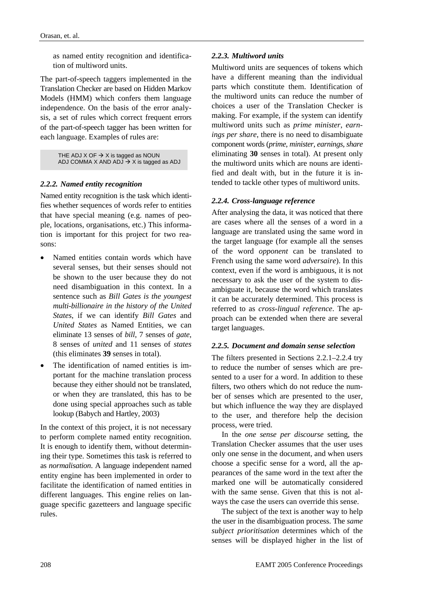as named entity recognition and identification of multiword units.

The part-of-speech taggers implemented in the Translation Checker are based on Hidden Markov Models (HMM) which confers them language independence. On the basis of the error analysis, a set of rules which correct frequent errors of the part-of-speech tagger has been written for each language. Examples of rules are:

> THE ADJ X OF  $\rightarrow$  X is tagged as NOUN ADJ COMMA X AND ADJ  $\rightarrow$  X is tagged as ADJ

#### *2.2.2. Named entity recognition*

Named entity recognition is the task which identifies whether sequences of words refer to entities that have special meaning (e.g. names of people, locations, organisations, etc.) This information is important for this project for two reasons:

- Named entities contain words which have several senses, but their senses should not be shown to the user because they do not need disambiguation in this context. In a sentence such as *Bill Gates is the youngest multi-billionaire in the history of the United States*, if we can identify *Bill Gates* and *United States* as Named Entities, we can eliminate 13 senses of *bill*, 7 senses of *gate*, 8 senses of *united* and 11 senses of *states* (this eliminates **39** senses in total).
- The identification of named entities is important for the machine translation process because they either should not be translated, or when they are translated, this has to be done using special approaches such as table lookup (Babych and Hartley, 2003)

In the context of this project, it is not necessary to perform complete named entity recognition. It is enough to identify them, without determining their type. Sometimes this task is referred to as *normalisation*. A language independent named entity engine has been implemented in order to facilitate the identification of named entities in different languages. This engine relies on language specific gazetteers and language specific rules.

#### *2.2.3. Multiword units*

Multiword units are sequences of tokens which have a different meaning than the individual parts which constitute them. Identification of the multiword units can reduce the number of choices a user of the Translation Checker is making. For example, if the system can identify multiword units such as *prime minister*, *earnings per share*, there is no need to disambiguate component words (*prime*, *minister*, *earnings*, *share* eliminating **30** senses in total). At present only the multiword units which are nouns are identified and dealt with, but in the future it is intended to tackle other types of multiword units.

#### *2.2.4. Cross-language reference*

After analysing the data, it was noticed that there are cases where all the senses of a word in a language are translated using the same word in the target language (for example all the senses of the word *opponent* can be translated to French using the same word *adversaire*). In this context, even if the word is ambiguous, it is not necessary to ask the user of the system to disambiguate it, because the word which translates it can be accurately determined. This process is referred to as *cross-lingual reference*. The approach can be extended when there are several target languages.

#### *2.2.5. Document and domain sense selection*

The filters presented in Sections 2.2.1–2.2.4 try to reduce the number of senses which are presented to a user for a word. In addition to these filters, two others which do not reduce the number of senses which are presented to the user, but which influence the way they are displayed to the user, and therefore help the decision process, were tried.

In the *one sense per discourse* setting, the Translation Checker assumes that the user uses only one sense in the document, and when users choose a specific sense for a word, all the appearances of the same word in the text after the marked one will be automatically considered with the same sense. Given that this is not always the case the users can override this sense.

The subject of the text is another way to help the user in the disambiguation process. The *same subject prioritisation* determines which of the senses will be displayed higher in the list of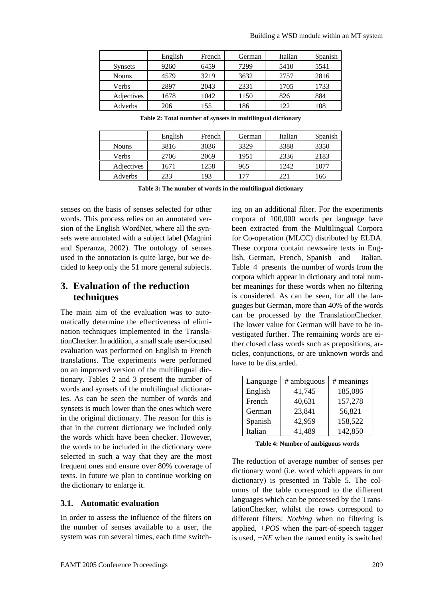|                | English | French | German | Italian | Spanish |
|----------------|---------|--------|--------|---------|---------|
| <b>Synsets</b> | 9260    | 6459   | 7299   | 5410    | 5541    |
| <b>Nouns</b>   | 4579    | 3219   | 3632   | 2757    | 2816    |
| Verbs          | 2897    | 2043   | 2331   | 1705    | 1733    |
| Adjectives     | 1678    | 1042   | 1150   | 826     | 884     |
| Adverbs        | 206     | 155    | 186    | 122     | 108     |

**Table 2: Total number of synsets in multilingual dictionary** 

|              | English | French | German | Italian | Spanish |
|--------------|---------|--------|--------|---------|---------|
| <b>Nouns</b> | 3816    | 3036   | 3329   | 3388    | 3350    |
| Verbs        | 2706    | 2069   | 1951   | 2336    | 2183    |
| Adjectives   | 1671    | 1258   | 965    | 1242    | 1077    |
| Adverbs      | 233     | 193    | 177    | 221     | 166     |

**Table 3: The number of words in the multilingual dictionary** 

senses on the basis of senses selected for other words. This process relies on an annotated version of the English WordNet, where all the synsets were annotated with a subject label (Magnini and Speranza, 2002). The ontology of senses used in the annotation is quite large, but we decided to keep only the 51 more general subjects.

### **3. Evaluation of the reduction techniques**

The main aim of the evaluation was to automatically determine the effectiveness of elimination techniques implemented in the TranslationChecker. In addition, a small scale user-focused evaluation was performed on English to French translations. The experiments were performed on an improved version of the multilingual dictionary. Tables 2 and 3 present the number of words and synsets of the multilingual dictionaries. As can be seen the number of words and synsets is much lower than the ones which were in the original dictionary. The reason for this is that in the current dictionary we included only the words which have been checker. However, the words to be included in the dictionary were selected in such a way that they are the most frequent ones and ensure over 80% coverage of texts. In future we plan to continue working on the dictionary to enlarge it.

#### **3.1. Automatic evaluation**

In order to assess the influence of the filters on the number of senses available to a user, the system was run several times, each time switching on an additional filter. For the experiments corpora of 100,000 words per language have been extracted from the Multilingual Corpora for Co-operation (MLCC) distributed by ELDA. These corpora contain newswire texts in English, German, French, Spanish and Italian. Table 4 presents the number of words from the corpora which appear in dictionary and total number meanings for these words when no filtering is considered. As can be seen, for all the languages but German, more than 40% of the words can be processed by the TranslationChecker. The lower value for German will have to be investigated further. The remaining words are either closed class words such as prepositions, articles, conjunctions, or are unknown words and have to be discarded.

| Language | # ambiguous | # meanings |
|----------|-------------|------------|
| English  | 41,745      | 185,086    |
| French   | 40,631      | 157,278    |
| German   | 23,841      | 56,821     |
| Spanish  | 42,959      | 158,522    |
| Italian  | 41,489      | 142,850    |

**Table 4: Number of ambiguous words** 

The reduction of average number of senses per dictionary word (i.e. word which appears in our dictionary) is presented in Table 5. The columns of the table correspond to the different languages which can be processed by the TranslationChecker, whilst the rows correspond to different filters: *Nothing* when no filtering is applied, *+POS* when the part-of-speech tagger is used, *+NE* when the named entity is switched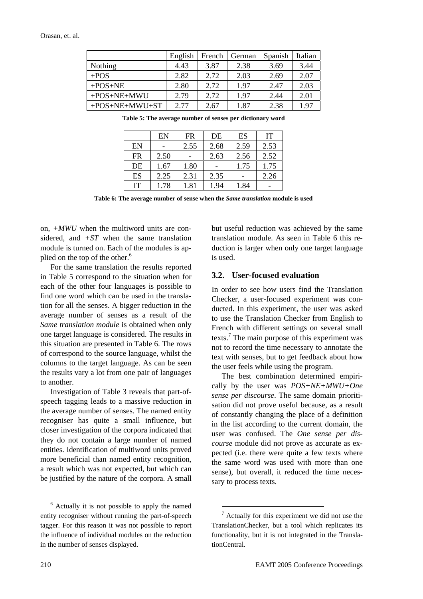|                  | English | French | German | Spanish | Italian |
|------------------|---------|--------|--------|---------|---------|
| Nothing          | 4.43    | 3.87   | 2.38   | 3.69    | 3.44    |
| $+POS$           | 2.82    | 2.72   | 2.03   | 2.69    | 2.07    |
| $+POS+NE$        | 2.80    | 2.72   | 1.97   | 2.47    | 2.03    |
| $+POS+NE+MWU$    | 2.79    | 2.72   | 1.97   | 2.44    | 2.01    |
| $+POS+NE+MWU+ST$ | 2.77    | 2.67   | 1.87   | 2.38    | 1.97    |

**Table 5: The average number of senses per dictionary word** 

|           | EN   | <b>FR</b> | DE   | ES   | IT   |
|-----------|------|-----------|------|------|------|
| EN        |      | 2.55      | 2.68 | 2.59 | 2.53 |
| <b>FR</b> | 2.50 |           | 2.63 | 2.56 | 2.52 |
| DE        | 1.67 | 1.80      |      | 1.75 | 1.75 |
| ES        | 2.25 | 2.31      | 2.35 |      | 2.26 |
| IT        | 1.78 | 1.81      | 1.94 | 1.84 |      |

**Table 6: The average number of sense when the** *Same translation* **module is used**

on, *+MWU* when the multiword units are considered, and *+ST* when the same translation module is turned on. Each of the modules is applied on the top of the other.<sup>6</sup>

For the same translation the results reported in Table 5 correspond to the situation when for each of the other four languages is possible to find one word which can be used in the translation for all the senses. A bigger reduction in the average number of senses as a result of the *Same translation module* is obtained when only one target language is considered. The results in this situation are presented in Table 6. The rows of correspond to the source language, whilst the columns to the target language. As can be seen the results vary a lot from one pair of languages to another.

Investigation of Table 3 reveals that part-ofspeech tagging leads to a massive reduction in the average number of senses. The named entity recogniser has quite a small influence, but closer investigation of the corpora indicated that they do not contain a large number of named entities. Identification of multiword units proved more beneficial than named entity recognition, a result which was not expected, but which can be justified by the nature of the corpora. A small

but useful reduction was achieved by the same translation module. As seen in Table 6 this reduction is larger when only one target language is used.

#### **3.2. User-focused evaluation**

In order to see how users find the Translation Checker, a user-focused experiment was conducted. In this experiment, the user was asked to use the Translation Checker from English to French with different settings on several small texts.<sup>7</sup> The main purpose of this experiment was not to record the time necessary to annotate the text with senses, but to get feedback about how the user feels while using the program.

The best combination determined empirically by the user was *POS+NE+MWU+One sense per discourse*. The same domain prioritisation did not prove useful because, as a result of constantly changing the place of a definition in the list according to the current domain, the user was confused. The *One sense per discourse* module did not prove as accurate as expected (i.e. there were quite a few texts where the same word was used with more than one sense), but overall, it reduced the time necessary to process texts.

l

<sup>&</sup>lt;sup>6</sup> Actually it is not possible to apply the named entity recogniser without running the part-of-speech tagger. For this reason it was not possible to report the influence of individual modules on the reduction in the number of senses displayed.

 $\frac{7}{7}$  Actually for this experiment we did not use the TranslationChecker, but a tool which replicates its functionality, but it is not integrated in the TranslationCentral.